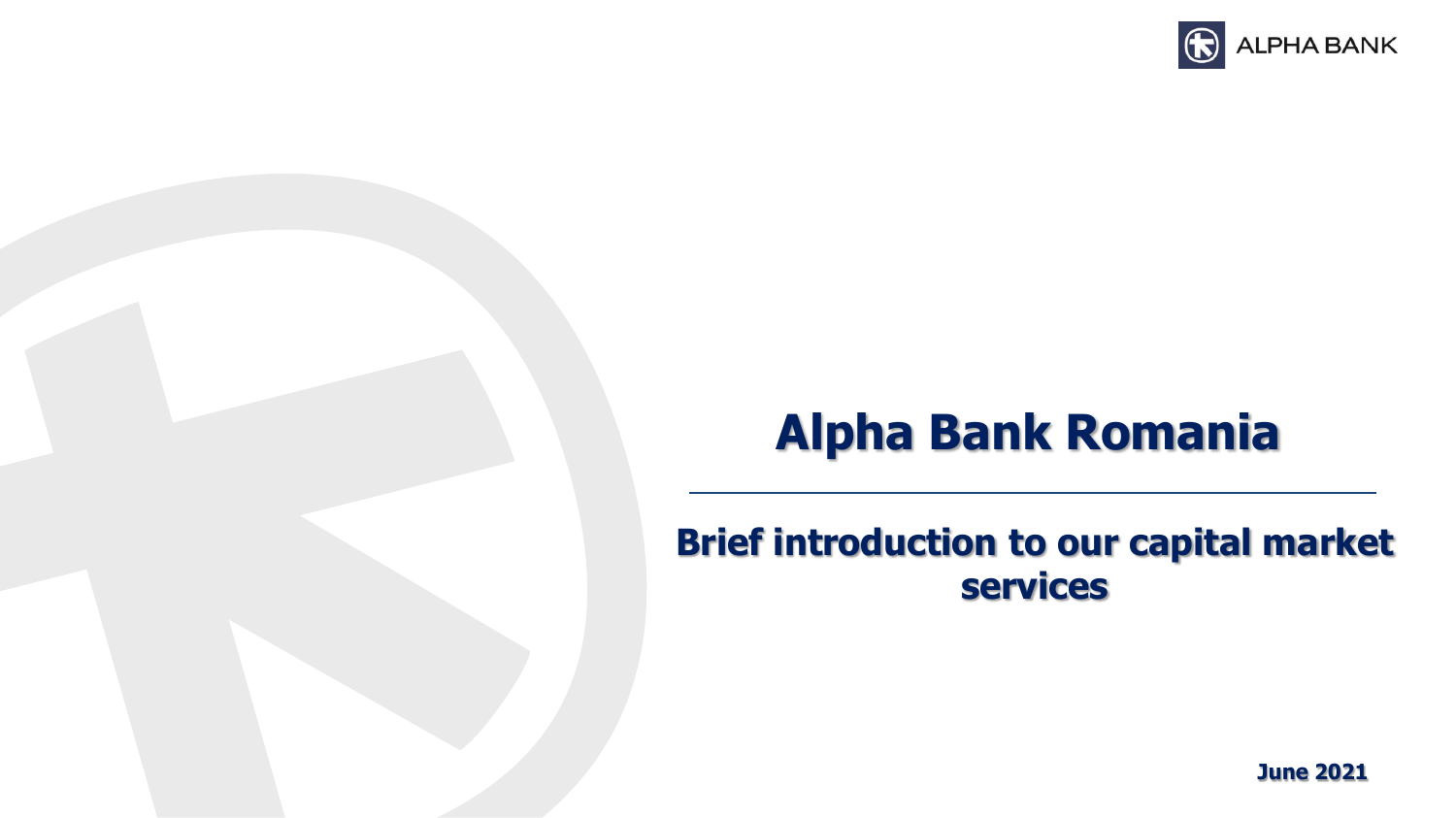

# **Alpha Bank Romania**

# **Brief introduction to our capital market services**

**June 2021**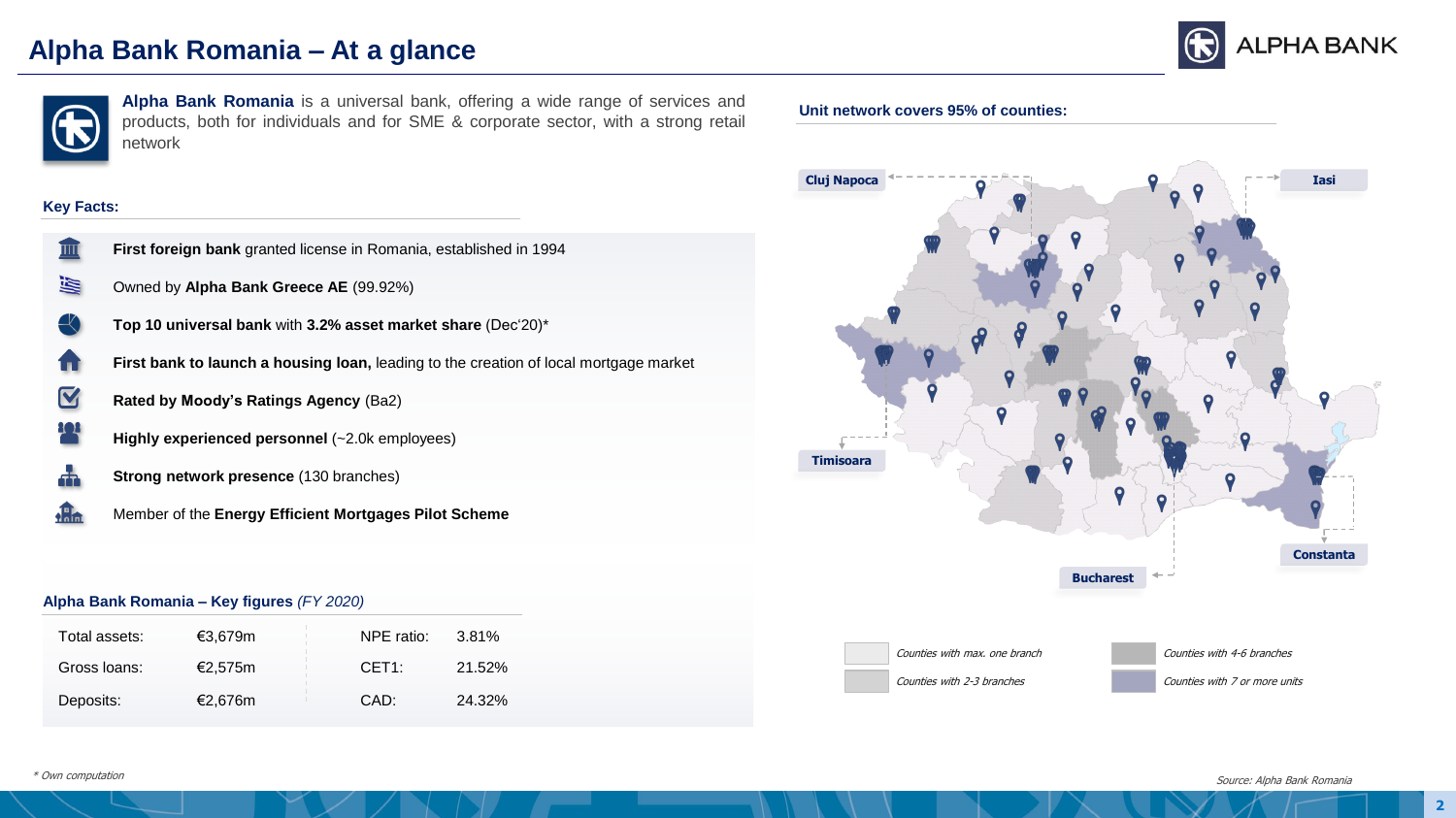# **Alpha Bank Romania – At a glance**





**Alpha Bank Romania** is a universal bank, offering a wide range of services and<br> **Unit network covers 95% of counties:** products, both for individuals and for SME & corporate sector, with a strong retail network

#### **Key Facts:**

- **First foreign bank** granted license in Romania, established in 1994  $\overline{\mathbb{H}}$
- 圖 Owned by **Alpha Bank Greece AE** (99.92%)
	- **Top 10 universal bank** with **3.2% asset market share** (Dec'20)\*
- **First bank to launch a housing loan,** leading to the creation of local mortgage market íπi
- $\boldsymbol{\nabla}$ **Rated by Moody's Ratings Agency** (Ba2)
	- **Highly experienced personnel** (~2.0k employees)
- 볾 **Strong network presence** (130 branches)
- **della** Member of the **Energy Efficient Mortgages Pilot Scheme**

#### **Alpha Bank Romania – Key figures** *(FY 2020)*

| Total assets: | €3.679m | NPE ratio: | 3.81%  |
|---------------|---------|------------|--------|
| Gross Ioans:  | €2.575m | CET1:      | 21.52% |
| Deposits:     | €2.676m | CAD:       | 24.32% |



\* Own computation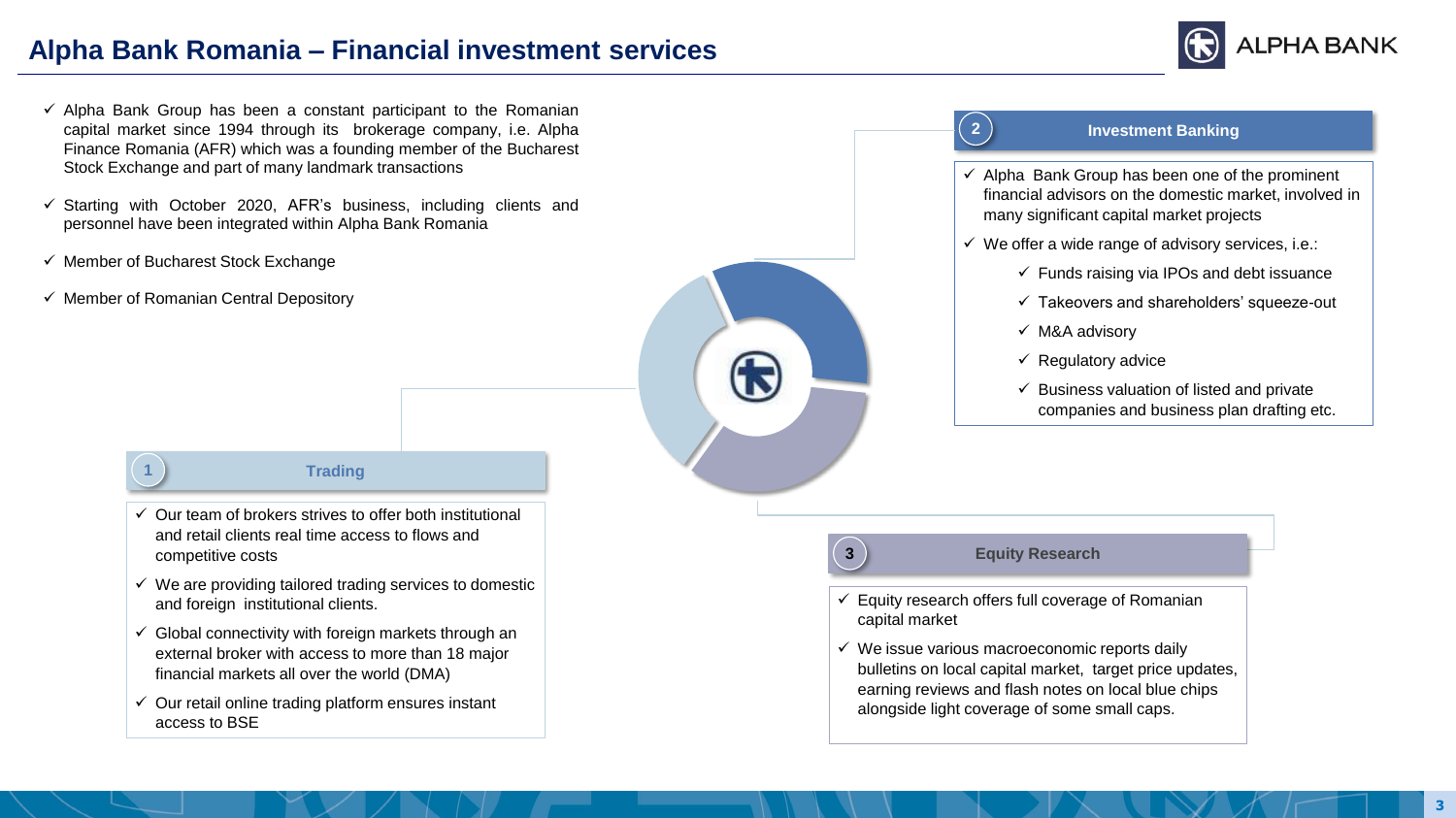# **Alpha Bank Romania – Financial investment services**



- $\checkmark$  Alpha Bank Group has been a constant participant to the Romanian capital market since 1994 through its brokerage company, i.e. Alpha Finance Romania (AFR) which was a founding member of the Bucharest Stock Exchange and part of many landmark transactions
- $\checkmark$  Starting with October 2020, AFR's business, including clients and personnel have been integrated within Alpha Bank Romania
- $\checkmark$  Member of Bucharest Stock Exchange
- $\checkmark$  Member of Romanian Central Depository



#### **Trading**

- $\checkmark$  Our team of brokers strives to offer both institutional and retail clients real time access to flows and competitive costs
- $\checkmark$  We are providing tailored trading services to domestic and foreign institutional clients.
- $\checkmark$  Global connectivity with foreign markets through an external broker with access to more than 18 major financial markets all over the world (DMA)
- $\checkmark$  Our retail online trading platform ensures instant access to BSE



## **Investment Banking**

- $\checkmark$  Alpha Bank Group has been one of the prominent financial advisors on the domestic market, involved in many significant capital market projects
- $\checkmark$  We offer a wide range of advisory services, i.e.:
	- $\checkmark$  Funds raising via IPOs and debt issuance
	- ✓ Takeovers and shareholders' squeeze-out
	- ✓ M&A advisory
	- $\checkmark$  Regulatory advice
	- $\checkmark$  Business valuation of listed and private companies and business plan drafting etc.

## **3 Equity Research**

**2**

- $\checkmark$  Equity research offers full coverage of Romanian capital market
- $\checkmark$  We issue various macroeconomic reports daily bulletins on local capital market, target price updates, earning reviews and flash notes on local blue chips alongside light coverage of some small caps.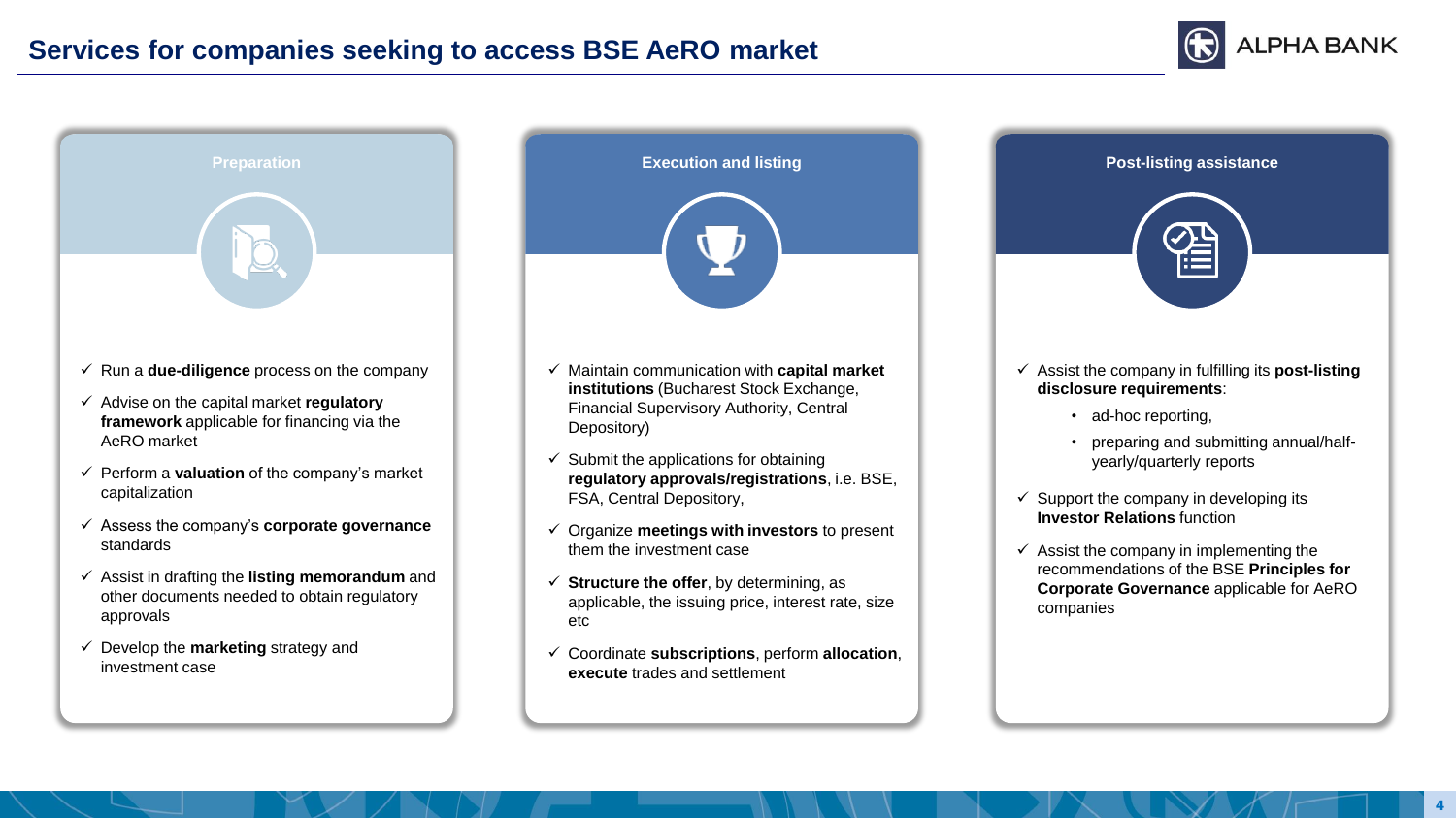



- other documents needed to obtain regulatory approvals
- ✓ Develop the **marketing** strategy and investment case

| Maintain communication with capital market<br>institutions (Bucharest Stock Exchange, |
|---------------------------------------------------------------------------------------|

- ✓ Maintain communication with **capital market**  Financial Supervisory Authority, Central Depository)
- $\checkmark$  Submit the applications for obtaining **regulatory approvals/registrations**, i.e. BSE, FSA, Central Depository,
- ✓ Organize **meetings with investors** to present them the investment case
- ✓ **Structure the offer**, by determining, as applicable, the issuing price, interest rate, size etc
- ✓ Coordinate **subscriptions**, perform **allocation**, **execute** trades and settlement

| <b>Post-listing assistance</b>                                                                                                                            |
|-----------------------------------------------------------------------------------------------------------------------------------------------------------|
| $\checkmark$ Assist the company in fulfilling its <b>post-listing</b><br>disclosure requirements:<br>ad-hoc reporting,                                    |
| preparing and submitting annual/half-<br>yearly/quarterly reports                                                                                         |
| $\checkmark$ Support the company in developing its<br><b>Investor Relations function</b>                                                                  |
| $\checkmark$ Assist the company in implementing the<br>recommendations of the BSE Principles for<br>Corporate Governance applicable for AeRO<br>companies |